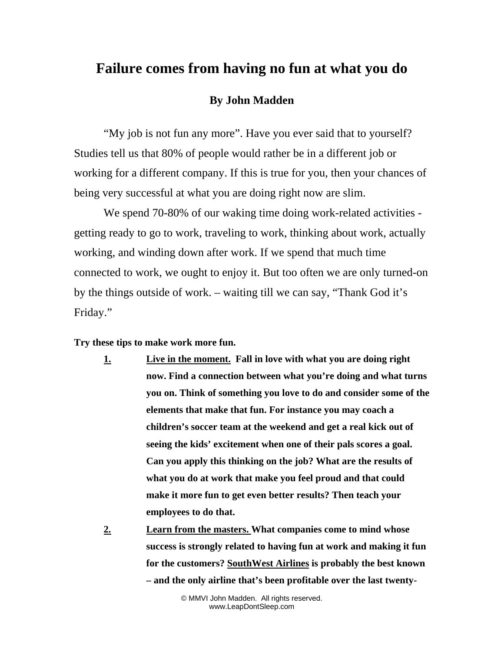## **Failure comes from having no fun at what you do**

## **By John Madden**

"My job is not fun any more". Have you ever said that to yourself? Studies tell us that 80% of people would rather be in a different job or working for a different company. If this is true for you, then your chances of being very successful at what you are doing right now are slim.

We spend 70-80% of our waking time doing work-related activities getting ready to go to work, traveling to work, thinking about work, actually working, and winding down after work. If we spend that much time connected to work, we ought to enjoy it. But too often we are only turned-on by the things outside of work. – waiting till we can say, "Thank God it's Friday."

**Try these tips to make work more fun.** 

- **1. Live in the moment. Fall in love with what you are doing right now. Find a connection between what you're doing and what turns you on. Think of something you love to do and consider some of the elements that make that fun. For instance you may coach a children's soccer team at the weekend and get a real kick out of seeing the kids' excitement when one of their pals scores a goal. Can you apply this thinking on the job? What are the results of what you do at work that make you feel proud and that could make it more fun to get even better results? Then teach your employees to do that.**
- **2. Learn from the masters. What companies come to mind whose success is strongly related to having fun at work and making it fun for the customers? SouthWest Airlines is probably the best known – and the only airline that's been profitable over the last twenty-**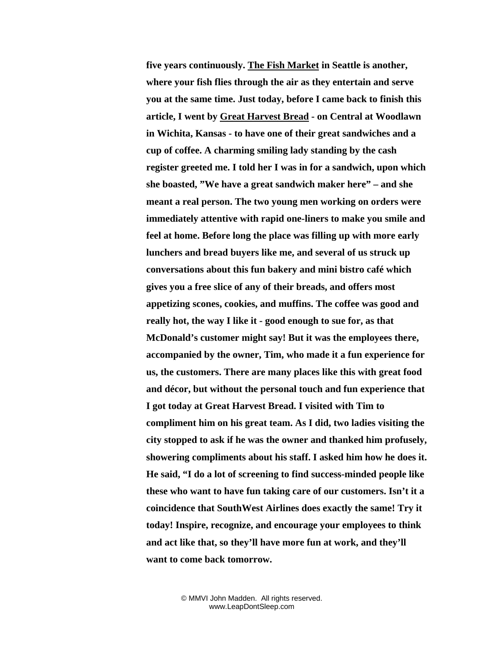**five years continuously. The Fish Market in Seattle is another, where your fish flies through the air as they entertain and serve you at the same time. Just today, before I came back to finish this article, I went by Great Harvest Bread - on Central at Woodlawn in Wichita, Kansas - to have one of their great sandwiches and a cup of coffee. A charming smiling lady standing by the cash register greeted me. I told her I was in for a sandwich, upon which she boasted, "We have a great sandwich maker here" – and she meant a real person. The two young men working on orders were immediately attentive with rapid one-liners to make you smile and feel at home. Before long the place was filling up with more early lunchers and bread buyers like me, and several of us struck up conversations about this fun bakery and mini bistro café which gives you a free slice of any of their breads, and offers most appetizing scones, cookies, and muffins. The coffee was good and really hot, the way I like it - good enough to sue for, as that McDonald's customer might say! But it was the employees there, accompanied by the owner, Tim, who made it a fun experience for us, the customers. There are many places like this with great food and décor, but without the personal touch and fun experience that I got today at Great Harvest Bread. I visited with Tim to compliment him on his great team. As I did, two ladies visiting the city stopped to ask if he was the owner and thanked him profusely, showering compliments about his staff. I asked him how he does it. He said, "I do a lot of screening to find success-minded people like these who want to have fun taking care of our customers. Isn't it a coincidence that SouthWest Airlines does exactly the same! Try it today! Inspire, recognize, and encourage your employees to think and act like that, so they'll have more fun at work, and they'll want to come back tomorrow.**